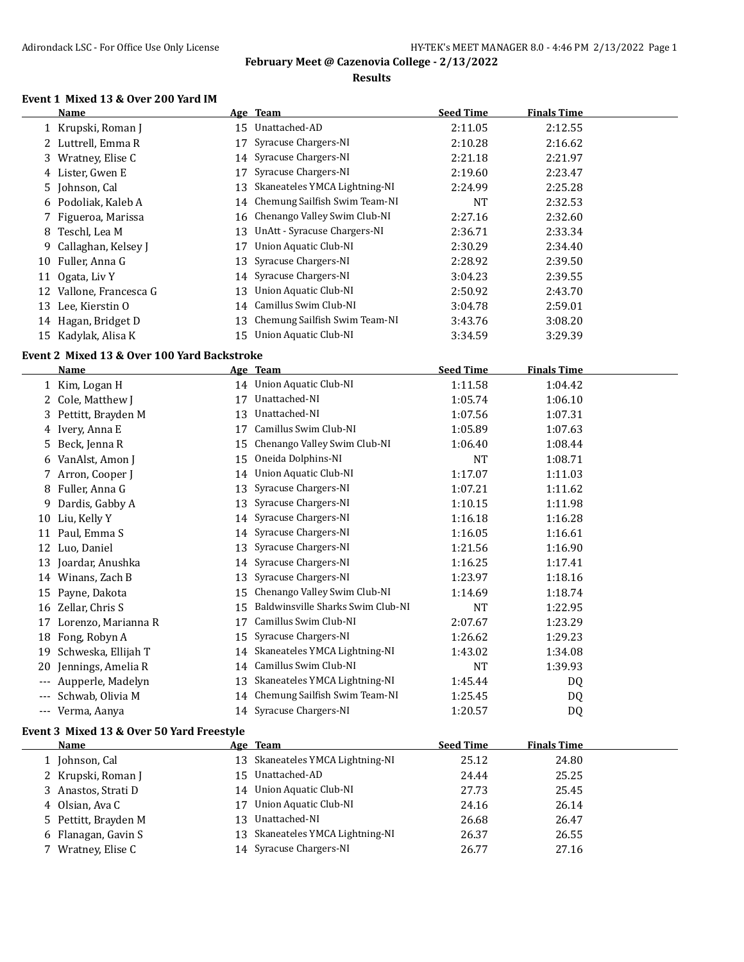### **Results**

#### **Event 1 Mixed 13 & Over 200 Yard IM**

|          | <b>Name</b>                                 |    | Age Team                          | <b>Seed Time</b> | <b>Finals Time</b> |  |
|----------|---------------------------------------------|----|-----------------------------------|------------------|--------------------|--|
|          | 1 Krupski, Roman J                          |    | 15 Unattached-AD                  | 2:11.05          | 2:12.55            |  |
|          | 2 Luttrell, Emma R                          |    | 17 Syracuse Chargers-NI           | 2:10.28          | 2:16.62            |  |
|          | 3 Wratney, Elise C                          |    | 14 Syracuse Chargers-NI           | 2:21.18          | 2:21.97            |  |
|          | 4 Lister, Gwen E                            |    | 17 Syracuse Chargers-NI           | 2:19.60          | 2:23.47            |  |
|          | 5 Johnson, Cal                              |    | 13 Skaneateles YMCA Lightning-NI  | 2:24.99          | 2:25.28            |  |
| 6        | Podoliak, Kaleb A                           |    | 14 Chemung Sailfish Swim Team-NI  | NT               | 2:32.53            |  |
| 7        | Figueroa, Marissa                           |    | 16 Chenango Valley Swim Club-NI   | 2:27.16          | 2:32.60            |  |
| 8        | Teschl, Lea M                               |    | 13 UnAtt - Syracuse Chargers-NI   | 2:36.71          | 2:33.34            |  |
| 9        | Callaghan, Kelsey J                         | 17 | <b>Union Aquatic Club-NI</b>      | 2:30.29          | 2:34.40            |  |
|          | 10 Fuller, Anna G                           | 13 | Syracuse Chargers-NI              | 2:28.92          | 2:39.50            |  |
|          | 11 Ogata, Liv Y                             | 14 | Syracuse Chargers-NI              | 3:04.23          | 2:39.55            |  |
|          | 12 Vallone, Francesca G                     | 13 | Union Aquatic Club-NI             | 2:50.92          | 2:43.70            |  |
|          | 13 Lee, Kierstin O                          |    | 14 Camillus Swim Club-NI          | 3:04.78          | 2:59.01            |  |
|          | 14 Hagan, Bridget D                         | 13 | Chemung Sailfish Swim Team-NI     | 3:43.76          | 3:08.20            |  |
|          | 15 Kadylak, Alisa K                         | 15 | Union Aquatic Club-NI             | 3:34.59          | 3:29.39            |  |
|          | Event 2 Mixed 13 & Over 100 Yard Backstroke |    |                                   |                  |                    |  |
|          | <b>Name</b>                                 |    | <u>Age Team</u>                   | <b>Seed Time</b> | <b>Finals Time</b> |  |
|          | 1 Kim, Logan H                              |    | 14 Union Aquatic Club-NI          | 1:11.58          | 1:04.42            |  |
|          | 2 Cole, Matthew J                           |    | 17 Unattached-NI                  | 1:05.74          | 1:06.10            |  |
|          | 3 Pettitt, Brayden M                        |    | 13 Unattached-NI                  | 1:07.56          | 1:07.31            |  |
|          | 4 Ivery, Anna E                             |    | 17 Camillus Swim Club-NI          | 1:05.89          | 1:07.63            |  |
| 5        | Beck, Jenna R                               |    | 15 Chenango Valley Swim Club-NI   | 1:06.40          | 1:08.44            |  |
| 6        | VanAlst, Amon J                             | 15 | Oneida Dolphins-NI                | NT               | 1:08.71            |  |
|          | 7 Arron, Cooper J                           | 14 | Union Aquatic Club-NI             | 1:17.07          | 1:11.03            |  |
| 8        | Fuller, Anna G                              | 13 | Syracuse Chargers-NI              | 1:07.21          | 1:11.62            |  |
| 9        | Dardis, Gabby A                             | 13 | Syracuse Chargers-NI              | 1:10.15          | 1:11.98            |  |
|          | 10 Liu, Kelly Y                             |    | 14 Syracuse Chargers-NI           | 1:16.18          | 1:16.28            |  |
|          | 11 Paul, Emma S                             |    | 14 Syracuse Chargers-NI           | 1:16.05          | 1:16.61            |  |
|          | 12 Luo, Daniel                              | 13 | Syracuse Chargers-NI              | 1:21.56          | 1:16.90            |  |
|          | 13 Joardar, Anushka                         |    | 14 Syracuse Chargers-NI           | 1:16.25          | 1:17.41            |  |
|          | 14 Winans, Zach B                           | 13 | Syracuse Chargers-NI              | 1:23.97          | 1:18.16            |  |
|          | 15 Payne, Dakota                            | 15 | Chenango Valley Swim Club-NI      | 1:14.69          | 1:18.74            |  |
|          | 16 Zellar, Chris S                          | 15 | Baldwinsville Sharks Swim Club-NI | <b>NT</b>        | 1:22.95            |  |
|          | 17 Lorenzo, Marianna R                      | 17 | Camillus Swim Club-NI             | 2:07.67          | 1:23.29            |  |
| 18       | Fong, Robyn A                               | 15 | Syracuse Chargers-NI              | 1:26.62          | 1:29.23            |  |
| 19       | Schweska, Ellijah T                         | 14 | Skaneateles YMCA Lightning-NI     | 1:43.02          | 1:34.08            |  |
| 20       | Jennings, Amelia R                          | 14 | Camillus Swim Club-NI             | <b>NT</b>        | 1:39.93            |  |
| $\cdots$ | Aupperle, Madelyn                           |    | 13 Skaneateles YMCA Lightning-NI  | 1:45.44          | DQ                 |  |
|          | Schwab, Olivia M                            |    | 14 Chemung Sailfish Swim Team-NI  | 1:25.45          | <b>DQ</b>          |  |
|          | --- Verma, Aanya                            | 14 | Syracuse Chargers-NI              | 1:20.57          | D <sub>0</sub>     |  |

### **Event 3 Mixed 13 & Over 50 Yard Freestyle**

| Age Team                         | <b>Seed Time</b> | <b>Finals Time</b> |  |
|----------------------------------|------------------|--------------------|--|
| 13 Skaneateles YMCA Lightning-NI | 25.12            | 24.80              |  |
| 15 Unattached-AD                 | 24.44            | 25.25              |  |
| 14 Union Aquatic Club-NI         | 27.73            | 25.45              |  |
| Union Aquatic Club-NI            | 24.16            | 26.14              |  |
| Unattached-NI<br>13.             | 26.68            | 26.47              |  |
| 13 Skaneateles YMCA Lightning-NI | 26.37            | 26.55              |  |
| 14 Syracuse Chargers-NI          | 26.77            | 27.16              |  |
|                                  |                  |                    |  |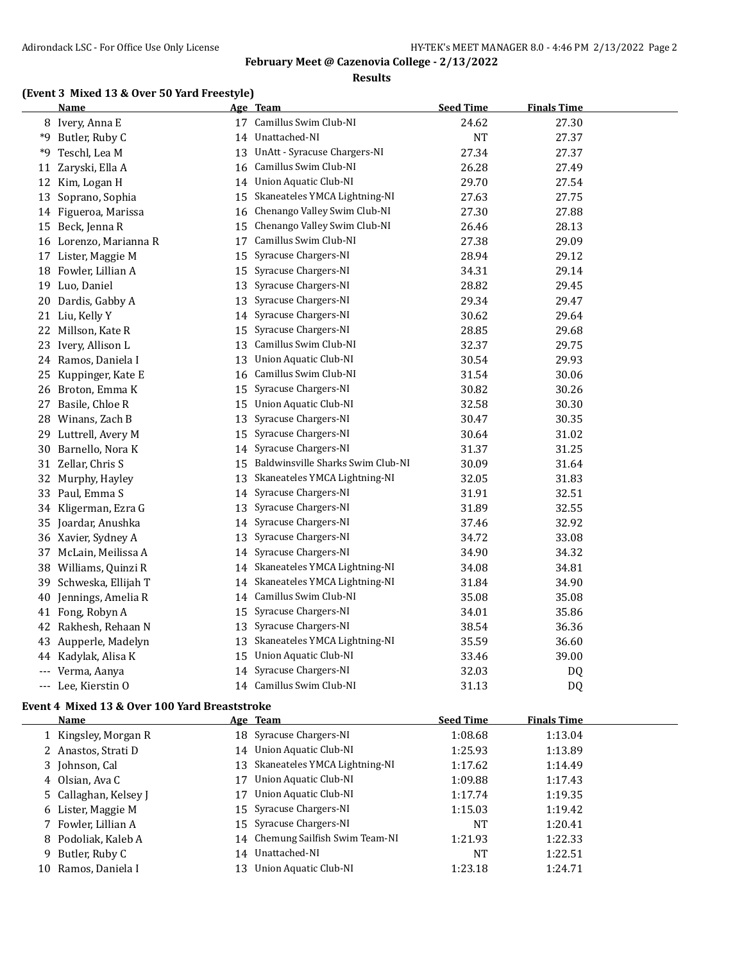#### **Results**

### **(Event 3 Mixed 13 & Over 50 Yard Freestyle)**

|    | <b>Name</b>                                   |    | Age Team                          | <b>Seed Time</b> | <b>Finals Time</b> |  |
|----|-----------------------------------------------|----|-----------------------------------|------------------|--------------------|--|
|    | 8 Ivery, Anna E                               |    | 17 Camillus Swim Club-NI          | 24.62            | 27.30              |  |
| *9 | Butler, Ruby C                                |    | 14 Unattached-NI                  | NT               | 27.37              |  |
| *9 | Teschl, Lea M                                 | 13 | UnAtt - Syracuse Chargers-NI      | 27.34            | 27.37              |  |
|    | 11 Zaryski, Ella A                            | 16 | Camillus Swim Club-NI             | 26.28            | 27.49              |  |
|    | 12 Kim, Logan H                               |    | 14 Union Aquatic Club-NI          | 29.70            | 27.54              |  |
|    | 13 Soprano, Sophia                            |    | 15 Skaneateles YMCA Lightning-NI  | 27.63            | 27.75              |  |
|    | 14 Figueroa, Marissa                          | 16 | Chenango Valley Swim Club-NI      | 27.30            | 27.88              |  |
| 15 | Beck, Jenna R                                 | 15 | Chenango Valley Swim Club-NI      | 26.46            | 28.13              |  |
|    | 16 Lorenzo, Marianna R                        | 17 | Camillus Swim Club-NI             | 27.38            | 29.09              |  |
|    | 17 Lister, Maggie M                           | 15 | Syracuse Chargers-NI              | 28.94            | 29.12              |  |
| 18 | Fowler, Lillian A                             | 15 | Syracuse Chargers-NI              | 34.31            | 29.14              |  |
|    | 19 Luo, Daniel                                | 13 | Syracuse Chargers-NI              | 28.82            | 29.45              |  |
| 20 | Dardis, Gabby A                               | 13 | Syracuse Chargers-NI              | 29.34            | 29.47              |  |
|    | 21 Liu, Kelly Y                               | 14 | Syracuse Chargers-NI              | 30.62            | 29.64              |  |
|    | 22 Millson, Kate R                            | 15 | Syracuse Chargers-NI              | 28.85            | 29.68              |  |
|    | 23 Ivery, Allison L                           |    | 13 Camillus Swim Club-NI          | 32.37            | 29.75              |  |
|    | 24 Ramos, Daniela I                           | 13 | Union Aquatic Club-NI             | 30.54            | 29.93              |  |
| 25 | Kuppinger, Kate E                             | 16 | Camillus Swim Club-NI             | 31.54            | 30.06              |  |
| 26 | Broton, Emma K                                | 15 | Syracuse Chargers-NI              | 30.82            | 30.26              |  |
| 27 | Basile, Chloe R                               | 15 | Union Aquatic Club-NI             | 32.58            | 30.30              |  |
| 28 | Winans, Zach B                                | 13 | Syracuse Chargers-NI              | 30.47            | 30.35              |  |
| 29 | Luttrell, Avery M                             | 15 | Syracuse Chargers-NI              | 30.64            | 31.02              |  |
| 30 | Barnello, Nora K                              | 14 | Syracuse Chargers-NI              | 31.37            | 31.25              |  |
|    | 31 Zellar, Chris S                            | 15 | Baldwinsville Sharks Swim Club-NI | 30.09            | 31.64              |  |
| 32 | Murphy, Hayley                                | 13 | Skaneateles YMCA Lightning-NI     | 32.05            | 31.83              |  |
|    | 33 Paul, Emma S                               | 14 | Syracuse Chargers-NI              | 31.91            | 32.51              |  |
|    | 34 Kligerman, Ezra G                          |    | 13 Syracuse Chargers-NI           | 31.89            | 32.55              |  |
|    | 35 Joardar, Anushka                           | 14 | Syracuse Chargers-NI              | 37.46            | 32.92              |  |
|    | 36 Xavier, Sydney A                           | 13 | Syracuse Chargers-NI              | 34.72            | 33.08              |  |
|    | 37 McLain, Meilissa A                         | 14 | Syracuse Chargers-NI              | 34.90            | 34.32              |  |
| 38 | Williams, Quinzi R                            | 14 | Skaneateles YMCA Lightning-NI     | 34.08            | 34.81              |  |
|    | 39 Schweska, Ellijah T                        |    | 14 Skaneateles YMCA Lightning-NI  | 31.84            | 34.90              |  |
| 40 | Jennings, Amelia R                            | 14 | Camillus Swim Club-NI             | 35.08            | 35.08              |  |
|    | 41 Fong, Robyn A                              | 15 | Syracuse Chargers-NI              | 34.01            | 35.86              |  |
| 42 | Rakhesh, Rehaan N                             | 13 | Syracuse Chargers-NI              | 38.54            | 36.36              |  |
| 43 | Aupperle, Madelyn                             | 13 | Skaneateles YMCA Lightning-NI     | 35.59            | 36.60              |  |
|    | 44 Kadylak, Alisa K                           | 15 | <b>Union Aquatic Club-NI</b>      | 33.46            | 39.00              |  |
|    | --- Verma, Aanya                              | 14 | Syracuse Chargers-NI              | 32.03            | DQ                 |  |
|    | --- Lee, Kierstin O                           |    | 14 Camillus Swim Club-NI          | 31.13            | <b>DQ</b>          |  |
|    | Event 4 Mixed 13 & Over 100 Yard Breaststroke |    |                                   |                  |                    |  |

| Name                  |    | Age Team                         | <b>Seed Time</b> | <b>Finals Time</b> |
|-----------------------|----|----------------------------------|------------------|--------------------|
| 1 Kingsley, Morgan R  |    | 18 Syracuse Chargers-NI          | 1:08.68          | 1:13.04            |
| 2 Anastos, Strati D   |    | 14 Union Aquatic Club-NI         | 1:25.93          | 1:13.89            |
| 3 Johnson, Cal        | 13 | Skaneateles YMCA Lightning-NI    | 1:17.62          | 1:14.49            |
| 4 Olsian, Ava C       | 17 | Union Aquatic Club-NI            | 1:09.88          | 1:17.43            |
| 5 Callaghan, Kelsey J | 17 | Union Aquatic Club-NI            | 1:17.74          | 1:19.35            |
| 6 Lister, Maggie M    |    | 15 Syracuse Chargers-NI          | 1:15.03          | 1:19.42            |
| 7 Fowler, Lillian A   |    | 15 Syracuse Chargers-NI          | <b>NT</b>        | 1:20.41            |
| 8 Podoliak, Kaleb A   |    | 14 Chemung Sailfish Swim Team-NI | 1:21.93          | 1:22.33            |
| 9 Butler, Ruby C      | 14 | Unattached-NI                    | <b>NT</b>        | 1:22.51            |
| 10 Ramos, Daniela I   | 13 | Union Aquatic Club-NI            | 1:23.18          | 1:24.71            |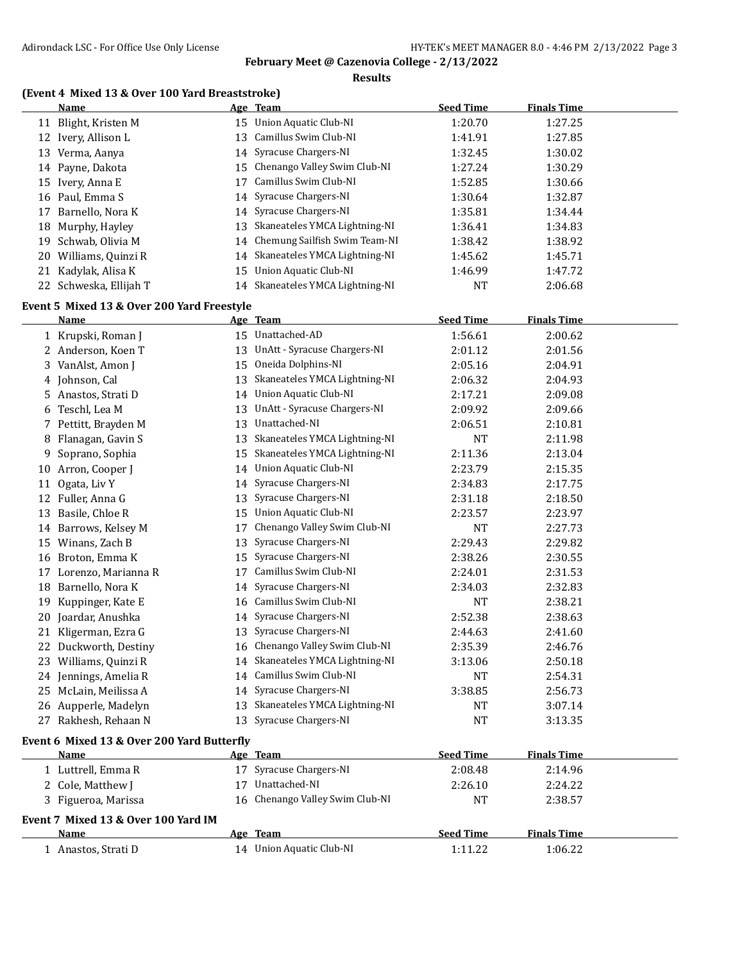**Results**

### **(Event 4 Mixed 13 & Over 100 Yard Breaststroke)**

|     | Name                   |    | Age Team                         | <b>Seed Time</b> | <b>Finals Time</b> |
|-----|------------------------|----|----------------------------------|------------------|--------------------|
|     | 11 Blight, Kristen M   |    | 15 Union Aquatic Club-NI         | 1:20.70          | 1:27.25            |
|     | 12 Ivery, Allison L    |    | 13 Camillus Swim Club-NI         | 1:41.91          | 1:27.85            |
| 13  | Verma, Aanya           |    | 14 Syracuse Chargers-NI          | 1:32.45          | 1:30.02            |
|     | 14 Payne, Dakota       |    | 15 Chenango Valley Swim Club-NI  | 1:27.24          | 1:30.29            |
|     | 15 Ivery, Anna E       | 17 | Camillus Swim Club-NI            | 1:52.85          | 1:30.66            |
|     | 16 Paul, Emma S        |    | 14 Syracuse Chargers-NI          | 1:30.64          | 1:32.87            |
|     | 17 Barnello, Nora K    |    | 14 Syracuse Chargers-NI          | 1:35.81          | 1:34.44            |
|     | 18 Murphy, Hayley      |    | 13 Skaneateles YMCA Lightning-NI | 1:36.41          | 1:34.83            |
| 19. | Schwab. Olivia M       |    | 14 Chemung Sailfish Swim Team-NI | 1:38.42          | 1:38.92            |
|     | 20 Williams, Quinzi R  |    | 14 Skaneateles YMCA Lightning-NI | 1:45.62          | 1:45.71            |
|     | 21 Kadylak, Alisa K    |    | 15 Union Aquatic Club-NI         | 1:46.99          | 1:47.72            |
|     | 22 Schweska, Ellijah T |    | 14 Skaneateles YMCA Lightning-NI | NT               | 2:06.68            |
|     |                        |    |                                  |                  |                    |

#### **Event 5 Mixed 13 & Over 200 Yard Freestyle**

|    | Name                                       |    | Age Team                        | <b>Seed Time</b> | <b>Finals Time</b> |
|----|--------------------------------------------|----|---------------------------------|------------------|--------------------|
|    | 1 Krupski, Roman J                         |    | 15 Unattached-AD                | 1:56.61          | 2:00.62            |
|    | 2 Anderson, Koen T                         | 13 | UnAtt - Syracuse Chargers-NI    | 2:01.12          | 2:01.56            |
|    | 3 VanAlst, Amon J                          | 15 | Oneida Dolphins-NI              | 2:05.16          | 2:04.91            |
|    | 4 Johnson, Cal                             | 13 | Skaneateles YMCA Lightning-NI   | 2:06.32          | 2:04.93            |
|    | 5 Anastos, Strati D                        |    | 14 Union Aquatic Club-NI        | 2:17.21          | 2:09.08            |
| 6  | Teschl, Lea M                              | 13 | UnAtt - Syracuse Chargers-NI    | 2:09.92          | 2:09.66            |
|    | 7 Pettitt, Brayden M                       | 13 | Unattached-NI                   | 2:06.51          | 2:10.81            |
| 8  | Flanagan, Gavin S                          | 13 | Skaneateles YMCA Lightning-NI   | <b>NT</b>        | 2:11.98            |
| 9  | Soprano, Sophia                            | 15 | Skaneateles YMCA Lightning-NI   | 2:11.36          | 2:13.04            |
| 10 | Arron, Cooper J                            |    | 14 Union Aquatic Club-NI        | 2:23.79          | 2:15.35            |
| 11 | Ogata, Liv Y                               | 14 | Syracuse Chargers-NI            | 2:34.83          | 2:17.75            |
|    | 12 Fuller, Anna G                          | 13 | Syracuse Chargers-NI            | 2:31.18          | 2:18.50            |
| 13 | Basile, Chloe R                            | 15 | Union Aquatic Club-NI           | 2:23.57          | 2:23.97            |
|    | 14 Barrows, Kelsey M                       | 17 | Chenango Valley Swim Club-NI    | <b>NT</b>        | 2:27.73            |
|    | 15 Winans, Zach B                          | 13 | Syracuse Chargers-NI            | 2:29.43          | 2:29.82            |
|    | 16 Broton, Emma K                          | 15 | Syracuse Chargers-NI            | 2:38.26          | 2:30.55            |
|    | 17 Lorenzo, Marianna R                     | 17 | Camillus Swim Club-NI           | 2:24.01          | 2:31.53            |
| 18 | Barnello, Nora K                           | 14 | Syracuse Chargers-NI            | 2:34.03          | 2:32.83            |
|    | 19 Kuppinger, Kate E                       |    | 16 Camillus Swim Club-NI        | <b>NT</b>        | 2:38.21            |
|    | 20 Joardar, Anushka                        | 14 | Syracuse Chargers-NI            | 2:52.38          | 2:38.63            |
|    | 21 Kligerman, Ezra G                       | 13 | Syracuse Chargers-NI            | 2:44.63          | 2:41.60            |
|    | 22 Duckworth, Destiny                      | 16 | Chenango Valley Swim Club-NI    | 2:35.39          | 2:46.76            |
|    | 23 Williams, Quinzi R                      | 14 | Skaneateles YMCA Lightning-NI   | 3:13.06          | 2:50.18            |
|    | 24 Jennings, Amelia R                      | 14 | Camillus Swim Club-NI           | <b>NT</b>        | 2:54.31            |
|    | 25 McLain, Meilissa A                      | 14 | Syracuse Chargers-NI            | 3:38.85          | 2:56.73            |
|    | 26 Aupperle, Madelyn                       | 13 | Skaneateles YMCA Lightning-NI   | <b>NT</b>        | 3:07.14            |
|    | 27 Rakhesh, Rehaan N                       | 13 | Syracuse Chargers-NI            | <b>NT</b>        | 3:13.35            |
|    | Event 6 Mixed 13 & Over 200 Yard Butterfly |    |                                 |                  |                    |
|    | Name                                       |    | Age Team                        | <b>Seed Time</b> | <b>Finals Time</b> |
|    | 1 Luttrell, Emma R                         |    | 17 Syracuse Chargers-NI         | 2:08.48          | 2:14.96            |
|    | 2 Cole, Matthew J                          | 17 | Unattached-NI                   | 2:26.10          | 2:24.22            |
|    | 3 Figueroa, Marissa                        |    | 16 Chenango Valley Swim Club-NI | <b>NT</b>        | 2:38.57            |
|    | Event 7 Mixed 13 & Over 100 Yard IM        |    |                                 |                  |                    |
|    | Name                                       |    | Age Team                        | <b>Seed Time</b> | <b>Finals Time</b> |
|    | 1 Anastos, Strati D                        |    | 14 Union Aquatic Club-NI        | 1:11.22          | 1:06.22            |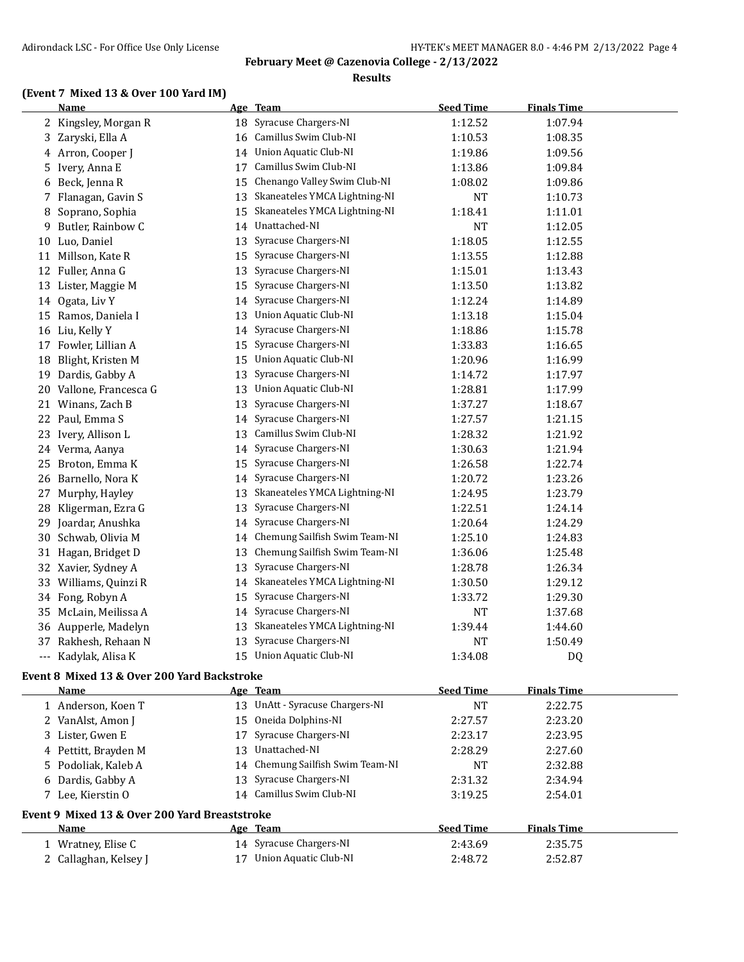#### **Results**

### **(Event 7 Mixed 13 & Over 100 Yard IM)**

|    | <b>Name</b>                                 |    | Age Team                        | <b>Seed Time</b> | <b>Finals Time</b> |  |
|----|---------------------------------------------|----|---------------------------------|------------------|--------------------|--|
| 2  | Kingsley, Morgan R                          | 18 | Syracuse Chargers-NI            | 1:12.52          | 1:07.94            |  |
| 3  | Zaryski, Ella A                             | 16 | Camillus Swim Club-NI           | 1:10.53          | 1:08.35            |  |
| 4  | Arron, Cooper J                             | 14 | Union Aquatic Club-NI           | 1:19.86          | 1:09.56            |  |
| 5  | Ivery, Anna E                               | 17 | Camillus Swim Club-NI           | 1:13.86          | 1:09.84            |  |
| 6  | Beck, Jenna R                               | 15 | Chenango Valley Swim Club-NI    | 1:08.02          | 1:09.86            |  |
| 7  | Flanagan, Gavin S                           | 13 | Skaneateles YMCA Lightning-NI   | <b>NT</b>        | 1:10.73            |  |
| 8  | Soprano, Sophia                             | 15 | Skaneateles YMCA Lightning-NI   | 1:18.41          | 1:11.01            |  |
| 9  | Butler, Rainbow C                           | 14 | Unattached-NI                   | <b>NT</b>        | 1:12.05            |  |
| 10 | Luo, Daniel                                 | 13 | Syracuse Chargers-NI            | 1:18.05          | 1:12.55            |  |
|    | 11 Millson, Kate R                          | 15 | Syracuse Chargers-NI            | 1:13.55          | 1:12.88            |  |
| 12 | Fuller, Anna G                              | 13 | Syracuse Chargers-NI            | 1:15.01          | 1:13.43            |  |
| 13 | Lister, Maggie M                            | 15 | Syracuse Chargers-NI            | 1:13.50          | 1:13.82            |  |
| 14 | Ogata, Liv Y                                | 14 | Syracuse Chargers-NI            | 1:12.24          | 1:14.89            |  |
|    | 15 Ramos, Daniela I                         | 13 | <b>Union Aquatic Club-NI</b>    | 1:13.18          | 1:15.04            |  |
| 16 | Liu, Kelly Y                                | 14 | Syracuse Chargers-NI            | 1:18.86          | 1:15.78            |  |
| 17 | Fowler, Lillian A                           | 15 | Syracuse Chargers-NI            | 1:33.83          | 1:16.65            |  |
| 18 | Blight, Kristen M                           | 15 | <b>Union Aquatic Club-NI</b>    | 1:20.96          | 1:16.99            |  |
| 19 | Dardis, Gabby A                             | 13 | Syracuse Chargers-NI            | 1:14.72          | 1:17.97            |  |
| 20 | Vallone, Francesca G                        | 13 | Union Aquatic Club-NI           | 1:28.81          | 1:17.99            |  |
| 21 | Winans, Zach B                              | 13 | Syracuse Chargers-NI            | 1:37.27          | 1:18.67            |  |
| 22 | Paul, Emma S                                | 14 | Syracuse Chargers-NI            | 1:27.57          | 1:21.15            |  |
| 23 | Ivery, Allison L                            | 13 | Camillus Swim Club-NI           | 1:28.32          | 1:21.92            |  |
| 24 | Verma, Aanya                                | 14 | Syracuse Chargers-NI            | 1:30.63          | 1:21.94            |  |
| 25 | Broton, Emma K                              | 15 | Syracuse Chargers-NI            | 1:26.58          | 1:22.74            |  |
| 26 | Barnello, Nora K                            | 14 | Syracuse Chargers-NI            | 1:20.72          | 1:23.26            |  |
| 27 | Murphy, Hayley                              | 13 | Skaneateles YMCA Lightning-NI   | 1:24.95          | 1:23.79            |  |
| 28 | Kligerman, Ezra G                           | 13 | Syracuse Chargers-NI            | 1:22.51          | 1:24.14            |  |
| 29 | Joardar, Anushka                            | 14 | Syracuse Chargers-NI            | 1:20.64          | 1:24.29            |  |
| 30 | Schwab, Olivia M                            | 14 | Chemung Sailfish Swim Team-NI   | 1:25.10          | 1:24.83            |  |
|    | 31 Hagan, Bridget D                         | 13 | Chemung Sailfish Swim Team-NI   | 1:36.06          | 1:25.48            |  |
|    | 32 Xavier, Sydney A                         | 13 | Syracuse Chargers-NI            | 1:28.78          | 1:26.34            |  |
| 33 | Williams, Quinzi R                          | 14 | Skaneateles YMCA Lightning-NI   | 1:30.50          | 1:29.12            |  |
| 34 | Fong, Robyn A                               | 15 | Syracuse Chargers-NI            | 1:33.72          | 1:29.30            |  |
| 35 | McLain, Meilissa A                          | 14 | Syracuse Chargers-NI            | <b>NT</b>        | 1:37.68            |  |
| 36 | Aupperle, Madelyn                           | 13 | Skaneateles YMCA Lightning-NI   | 1:39.44          | 1:44.60            |  |
| 37 | Rakhesh, Rehaan N                           | 13 | Syracuse Chargers-NI            | <b>NT</b>        | 1:50.49            |  |
|    | --- Kadylak, Alisa K                        |    | 15 Union Aquatic Club-NI        | 1:34.08          | DQ                 |  |
|    | Event 8 Mixed 13 & Over 200 Yard Backstroke |    |                                 |                  |                    |  |
|    | <b>Name</b>                                 |    | Age Team                        | <b>Seed Time</b> | <b>Finals Time</b> |  |
|    | 1 Anderson, Koen T                          |    | 13 UnAtt - Syracuse Chargers-NI | NT               | 2:22.75            |  |
|    | 2 VanAlst, Amon J                           |    | 15 Oneida Dolphins-NI           | 2:27.57          | 2:23.20            |  |
|    | 3 Lister, Gwen E                            |    | 17 Syracuse Chargers-NI         | 2:23.17          | 2:23.95            |  |

| 4 Pettitt, Brayden M | Unattached-NI<br>13.             | 2:28.29                                       | 2:27.60            |  |  |  |  |  |
|----------------------|----------------------------------|-----------------------------------------------|--------------------|--|--|--|--|--|
| 5 Podoliak, Kaleb A  | 14 Chemung Sailfish Swim Team-NI | <b>NT</b>                                     | 2:32.88            |  |  |  |  |  |
| 6 Dardis, Gabby A    | 13 Syracuse Chargers-NI          | 2:31.32                                       | 2:34.94            |  |  |  |  |  |
| 7 Lee, Kierstin O    | Camillus Swim Club-NI<br>14      | 3:19.25                                       | 2:54.01            |  |  |  |  |  |
|                      |                                  | Event 9 Mixed 13 & Over 200 Yard Breaststroke |                    |  |  |  |  |  |
|                      |                                  |                                               |                    |  |  |  |  |  |
| <b>Name</b>          | Age Team                         | <b>Seed Time</b>                              | <b>Finals Time</b> |  |  |  |  |  |
| 1 Wratney, Elise C   | 14 Syracuse Chargers-NI          | 2:43.69                                       | 2:35.75            |  |  |  |  |  |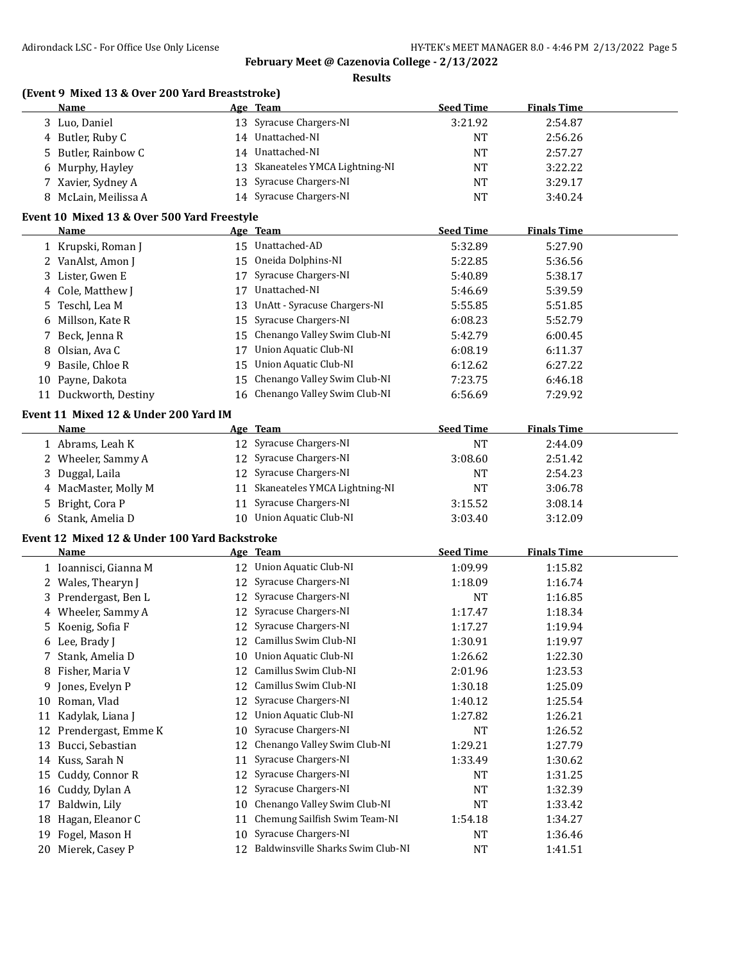**Results**

|    | (Event 9 Mixed 13 & Over 200 Yard Breaststroke)<br>Name |    | Age Team                             | <b>Seed Time</b> | <b>Finals Time</b> |  |
|----|---------------------------------------------------------|----|--------------------------------------|------------------|--------------------|--|
|    | 3 Luo, Daniel                                           |    | 13 Syracuse Chargers-NI              | 3:21.92          | 2:54.87            |  |
|    | 4 Butler, Ruby C                                        |    | 14 Unattached-NI                     | NT               | 2:56.26            |  |
|    | 5 Butler, Rainbow C                                     |    | 14 Unattached-NI                     | NT               | 2:57.27            |  |
| 6  | Murphy, Hayley                                          |    | 13 Skaneateles YMCA Lightning-NI     | NT               | 3:22.22            |  |
|    | 7 Xavier, Sydney A                                      |    | 13 Syracuse Chargers-NI              | <b>NT</b>        | 3:29.17            |  |
|    | 8 McLain, Meilissa A                                    |    | 14 Syracuse Chargers-NI              | <b>NT</b>        | 3:40.24            |  |
|    | Event 10 Mixed 13 & Over 500 Yard Freestyle             |    |                                      |                  |                    |  |
|    | Name                                                    |    | Age Team                             | <b>Seed Time</b> | <b>Finals Time</b> |  |
|    | 1 Krupski, Roman J                                      |    | 15 Unattached-AD                     | 5:32.89          | 5:27.90            |  |
|    | 2 VanAlst, Amon J                                       | 15 | Oneida Dolphins-NI                   | 5:22.85          | 5:36.56            |  |
|    | 3 Lister, Gwen E                                        |    | 17 Syracuse Chargers-NI              | 5:40.89          | 5:38.17            |  |
|    | 4 Cole, Matthew J                                       | 17 | Unattached-NI                        | 5:46.69          | 5:39.59            |  |
| 5  | Teschl, Lea M                                           | 13 | UnAtt - Syracuse Chargers-NI         | 5:55.85          | 5:51.85            |  |
| 6  | Millson, Kate R                                         |    | 15 Syracuse Chargers-NI              | 6:08.23          | 5:52.79            |  |
| 7  | Beck, Jenna R                                           |    | 15 Chenango Valley Swim Club-NI      | 5:42.79          | 6:00.45            |  |
|    | Olsian, Ava C                                           | 17 | <b>Union Aquatic Club-NI</b>         | 6:08.19          | 6:11.37            |  |
| 8  | Basile, Chloe R                                         | 15 | Union Aquatic Club-NI                | 6:12.62          | 6:27.22            |  |
| 9  |                                                         |    | Chenango Valley Swim Club-NI         |                  |                    |  |
| 10 | Payne, Dakota                                           | 15 |                                      | 7:23.75          | 6:46.18            |  |
|    | 11 Duckworth, Destiny                                   |    | 16 Chenango Valley Swim Club-NI      | 6:56.69          | 7:29.92            |  |
|    | Event 11 Mixed 12 & Under 200 Yard IM                   |    |                                      |                  |                    |  |
|    | Name                                                    |    | Age Team                             | <b>Seed Time</b> | <b>Finals Time</b> |  |
|    | 1 Abrams, Leah K                                        |    | 12 Syracuse Chargers-NI              | <b>NT</b>        | 2:44.09            |  |
|    | 2 Wheeler, Sammy A                                      |    | 12 Syracuse Chargers-NI              | 3:08.60          | 2:51.42            |  |
|    | 3 Duggal, Laila                                         |    | 12 Syracuse Chargers-NI              | NT               | 2:54.23            |  |
|    | 4 MacMaster, Molly M                                    |    | 11 Skaneateles YMCA Lightning-NI     | <b>NT</b>        | 3:06.78            |  |
|    | 5 Bright, Cora P                                        |    | 11 Syracuse Chargers-NI              | 3:15.52          | 3:08.14            |  |
|    | 6 Stank, Amelia D                                       |    | 10 Union Aquatic Club-NI             | 3:03.40          | 3:12.09            |  |
|    | Event 12 Mixed 12 & Under 100 Yard Backstroke           |    |                                      |                  |                    |  |
|    | Name                                                    |    | Age Team                             | <b>Seed Time</b> | <b>Finals Time</b> |  |
|    | 1 Ioannisci, Gianna M                                   |    | 12 Union Aquatic Club-NI             | 1:09.99          | 1:15.82            |  |
|    | 2 Wales, Thearyn J                                      |    | 12 Syracuse Chargers-NI              | 1:18.09          | 1:16.74            |  |
|    | 3 Prendergast, Ben L                                    |    | 12 Syracuse Chargers-NI              | NT               | 1:16.85            |  |
|    | 4 Wheeler, Sammy A                                      |    | 12 Syracuse Chargers-NI              | 1:17.47          | 1:18.34            |  |
|    | 5 Koenig, Sofia F                                       |    | 12 Syracuse Chargers-NI              | 1:17.27          | 1:19.94            |  |
|    | 6 Lee, Brady J                                          |    | 12 Camillus Swim Club-NI             | 1:30.91          | 1:19.97            |  |
|    | 7 Stank, Amelia D                                       | 10 | Union Aquatic Club-NI                | 1:26.62          | 1:22.30            |  |
| 8  | Fisher, Maria V                                         | 12 | Camillus Swim Club-NI                | 2:01.96          | 1:23.53            |  |
| 9  | Jones, Evelyn P                                         |    | 12 Camillus Swim Club-NI             | 1:30.18          | 1:25.09            |  |
| 10 | Roman, Vlad                                             | 12 | Syracuse Chargers-NI                 | 1:40.12          | 1:25.54            |  |
| 11 | Kadylak, Liana J                                        | 12 | <b>Union Aquatic Club-NI</b>         | 1:27.82          | 1:26.21            |  |
| 12 | Prendergast, Emme K                                     | 10 | Syracuse Chargers-NI                 | NT               | 1:26.52            |  |
| 13 | Bucci, Sebastian                                        | 12 | Chenango Valley Swim Club-NI         | 1:29.21          | 1:27.79            |  |
| 14 | Kuss, Sarah N                                           | 11 | Syracuse Chargers-NI                 | 1:33.49          | 1:30.62            |  |
| 15 | Cuddy, Connor R                                         | 12 | Syracuse Chargers-NI                 | NT               | 1:31.25            |  |
| 16 | Cuddy, Dylan A                                          | 12 | Syracuse Chargers-NI                 | NT               | 1:32.39            |  |
| 17 | Baldwin, Lily                                           | 10 | Chenango Valley Swim Club-NI         | NT               | 1:33.42            |  |
| 18 | Hagan, Eleanor C                                        | 11 | Chemung Sailfish Swim Team-NI        | 1:54.18          | 1:34.27            |  |
|    | 19 Fogel, Mason H                                       | 10 | Syracuse Chargers-NI                 | NT               | 1:36.46            |  |
|    | 20 Mierek, Casey P                                      |    | 12 Baldwinsville Sharks Swim Club-NI | <b>NT</b>        | 1:41.51            |  |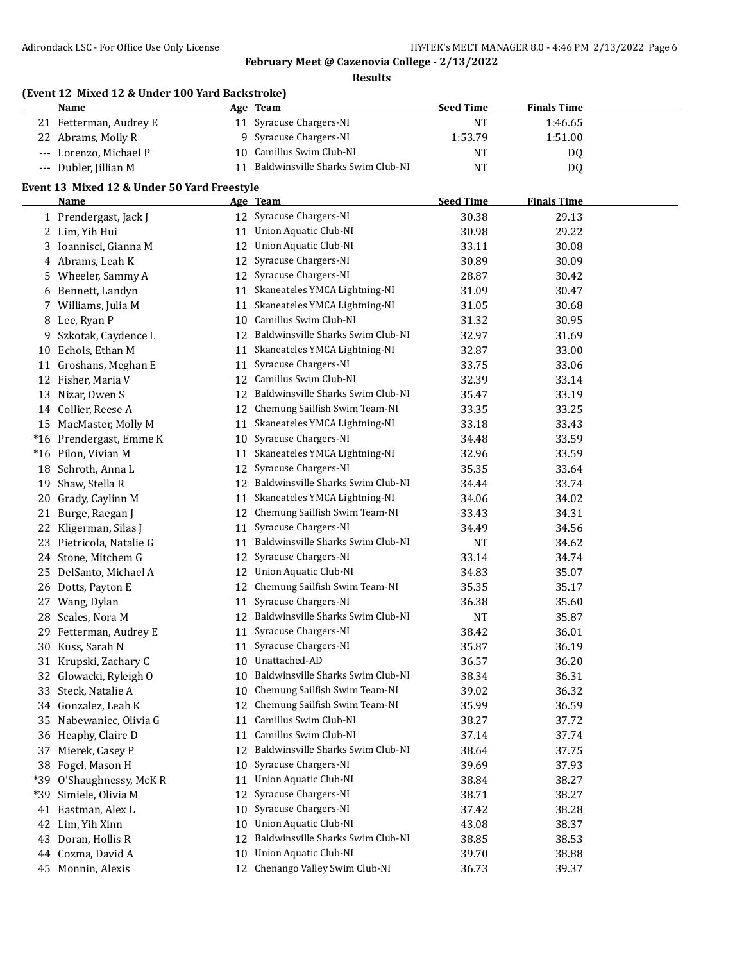**Results**

|       | (Event 12 Mixed 12 & Under 100 Yard Backstroke) |    |                                      |                  |                    |  |
|-------|-------------------------------------------------|----|--------------------------------------|------------------|--------------------|--|
|       | Name                                            |    | Age Team                             | <b>Seed Time</b> | <b>Finals Time</b> |  |
|       | 21 Fetterman, Audrey E                          |    | 11 Syracuse Chargers-NI              | <b>NT</b>        | 1:46.65            |  |
|       | 22 Abrams, Molly R                              |    | 9 Syracuse Chargers-NI               | 1:53.79          | 1:51.00            |  |
|       | --- Lorenzo, Michael P                          |    | 10 Camillus Swim Club-NI             | NT               | DQ                 |  |
|       | --- Dubler, Jillian M                           |    | 11 Baldwinsville Sharks Swim Club-NI | <b>NT</b>        | DQ                 |  |
|       | Event 13 Mixed 12 & Under 50 Yard Freestyle     |    |                                      |                  |                    |  |
|       | Name                                            |    | Age Team                             | <b>Seed Time</b> | <b>Finals Time</b> |  |
|       | 1 Prendergast, Jack J                           |    | 12 Syracuse Chargers-NI              | 30.38            | 29.13              |  |
|       | 2 Lim, Yih Hui                                  | 11 | Union Aquatic Club-NI                | 30.98            | 29.22              |  |
|       | 3 Ioannisci, Gianna M                           | 12 | Union Aquatic Club-NI                | 33.11            | 30.08              |  |
|       | 4 Abrams, Leah K                                | 12 | Syracuse Chargers-NI                 | 30.89            | 30.09              |  |
|       | 5 Wheeler, Sammy A                              | 12 | Syracuse Chargers-NI                 | 28.87            | 30.42              |  |
|       | 6 Bennett, Landyn                               | 11 | Skaneateles YMCA Lightning-NI        | 31.09            | 30.47              |  |
|       | 7 Williams, Julia M                             | 11 | Skaneateles YMCA Lightning-NI        | 31.05            | 30.68              |  |
|       | 8 Lee, Ryan P                                   |    | 10 Camillus Swim Club-NI             | 31.32            | 30.95              |  |
| 9     | Szkotak, Caydence L                             | 12 | Baldwinsville Sharks Swim Club-NI    | 32.97            | 31.69              |  |
| 10    | Echols, Ethan M                                 | 11 | Skaneateles YMCA Lightning-NI        | 32.87            | 33.00              |  |
|       | 11 Groshans, Meghan E                           | 11 | Syracuse Chargers-NI                 | 33.75            | 33.06              |  |
|       | 12 Fisher, Maria V                              |    | 12 Camillus Swim Club-NI             | 32.39            | 33.14              |  |
|       | 13 Nizar, Owen S                                |    | 12 Baldwinsville Sharks Swim Club-NI | 35.47            | 33.19              |  |
|       | 14 Collier, Reese A                             | 12 | Chemung Sailfish Swim Team-NI        | 33.35            | 33.25              |  |
|       | 15 MacMaster, Molly M                           | 11 | Skaneateles YMCA Lightning-NI        | 33.18            | 33.43              |  |
|       | *16 Prendergast, Emme K                         | 10 | Syracuse Chargers-NI                 | 34.48            | 33.59              |  |
|       | *16 Pilon, Vivian M                             | 11 | Skaneateles YMCA Lightning-NI        | 32.96            | 33.59              |  |
| 18    | Schroth, Anna L                                 | 12 | Syracuse Chargers-NI                 | 35.35            | 33.64              |  |
| 19    | Shaw, Stella R                                  |    | 12 Baldwinsville Sharks Swim Club-NI | 34.44            | 33.74              |  |
| 20    | Grady, Caylinn M                                | 11 | Skaneateles YMCA Lightning-NI        | 34.06            | 34.02              |  |
| 21    | Burge, Raegan J                                 | 12 | Chemung Sailfish Swim Team-NI        | 33.43            | 34.31              |  |
| 22    | Kligerman, Silas J                              | 11 | Syracuse Chargers-NI                 | 34.49            | 34.56              |  |
|       | 23 Pietricola, Natalie G                        | 11 | Baldwinsville Sharks Swim Club-NI    | <b>NT</b>        | 34.62              |  |
|       | 24 Stone, Mitchem G                             | 12 | Syracuse Chargers-NI                 | 33.14            | 34.74              |  |
| 25.   | DelSanto, Michael A                             | 12 | <b>Union Aquatic Club-NI</b>         | 34.83            | 35.07              |  |
|       | 26 Dotts, Payton E                              | 12 | Chemung Sailfish Swim Team-NI        | 35.35            | 35.17              |  |
|       | 27 Wang, Dylan                                  | 11 | Syracuse Chargers-NI                 | 36.38            | 35.60              |  |
|       | 28 Scales, Nora M                               |    | 12 Baldwinsville Sharks Swim Club-NI | <b>NT</b>        | 35.87              |  |
|       | 29 Fetterman, Audrey E                          |    | 11 Syracuse Chargers-NI              | 38.42            | 36.01              |  |
|       | 30 Kuss, Sarah N                                |    | 11 Syracuse Chargers-NI              | 35.87            | 36.19              |  |
|       | 31 Krupski, Zachary C                           | 10 | Unattached-AD                        | 36.57            | 36.20              |  |
| 32    | Glowacki, Ryleigh O                             | 10 | Baldwinsville Sharks Swim Club-NI    | 38.34            | 36.31              |  |
| 33    | Steck, Natalie A                                | 10 | Chemung Sailfish Swim Team-NI        | 39.02            | 36.32              |  |
|       | 34 Gonzalez, Leah K                             | 12 | Chemung Sailfish Swim Team-NI        | 35.99            | 36.59              |  |
|       | 35 Nabewaniec, Olivia G                         | 11 | Camillus Swim Club-NI                | 38.27            | 37.72              |  |
|       | 36 Heaphy, Claire D                             | 11 | Camillus Swim Club-NI                | 37.14            | 37.74              |  |
| 37    | Mierek, Casey P                                 | 12 | Baldwinsville Sharks Swim Club-NI    | 38.64            | 37.75              |  |
| 38    | Fogel, Mason H                                  | 10 | Syracuse Chargers-NI                 | 39.69            | 37.93              |  |
| $*39$ | O'Shaughnessy, McKR                             | 11 | Union Aquatic Club-NI                | 38.84            | 38.27              |  |
| $*39$ | Simiele, Olivia M                               | 12 | Syracuse Chargers-NI                 | 38.71            | 38.27              |  |
| 41    | Eastman, Alex L                                 | 10 | Syracuse Chargers-NI                 | 37.42            | 38.28              |  |
|       | 42 Lim, Yih Xinn                                | 10 | <b>Union Aquatic Club-NI</b>         | 43.08            | 38.37              |  |
|       | 43 Doran, Hollis R                              | 12 | Baldwinsville Sharks Swim Club-NI    | 38.85            | 38.53              |  |
|       | 44 Cozma, David A                               | 10 | <b>Union Aquatic Club-NI</b>         | 39.70            | 38.88              |  |
|       | 45 Monnin, Alexis                               |    | 12 Chenango Valley Swim Club-NI      | 36.73            | 39.37              |  |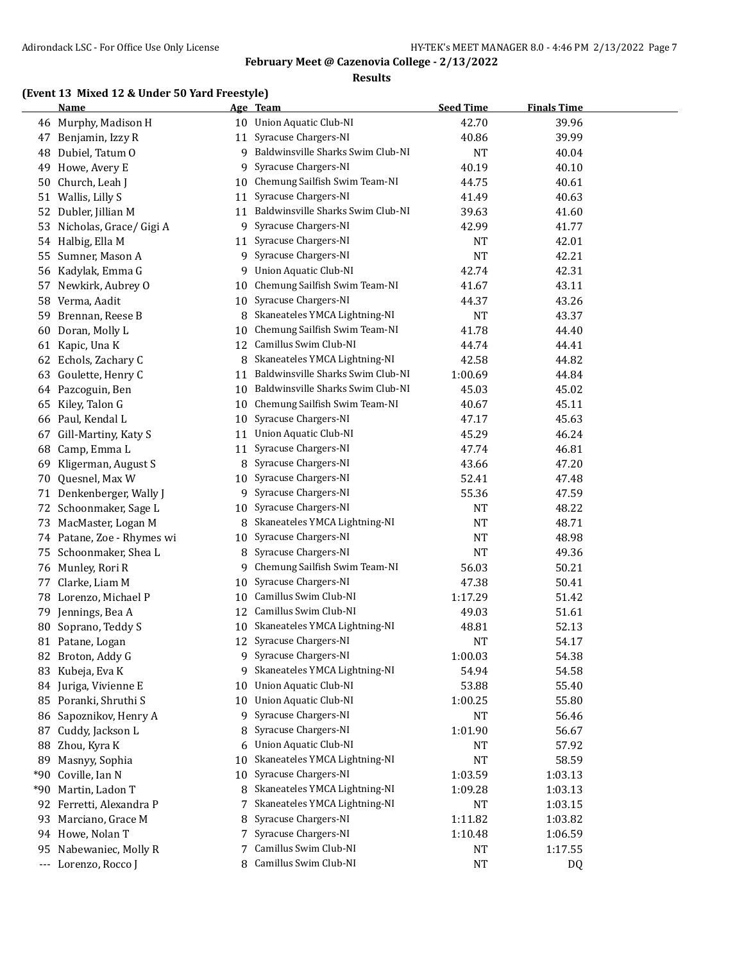#### **Results**

### **(Event 13 Mixed 12 & Under 50 Yard Freestyle)**

|     | <b>Name</b>                |    | Age Team                          | <b>Seed Time</b> | <b>Finals Time</b> |  |
|-----|----------------------------|----|-----------------------------------|------------------|--------------------|--|
|     | 46 Murphy, Madison H       |    | 10 Union Aquatic Club-NI          | 42.70            | 39.96              |  |
| 47  | Benjamin, Izzy R           | 11 | Syracuse Chargers-NI              | 40.86            | 39.99              |  |
| 48  | Dubiel, Tatum O            | 9  | Baldwinsville Sharks Swim Club-NI | <b>NT</b>        | 40.04              |  |
| 49  | Howe, Avery E              | 9  | Syracuse Chargers-NI              | 40.19            | 40.10              |  |
| 50  | Church, Leah J             | 10 | Chemung Sailfish Swim Team-NI     | 44.75            | 40.61              |  |
|     | 51 Wallis, Lilly S         | 11 | Syracuse Chargers-NI              | 41.49            | 40.63              |  |
|     | 52 Dubler, Jillian M       | 11 | Baldwinsville Sharks Swim Club-NI | 39.63            | 41.60              |  |
| 53  | Nicholas, Grace/ Gigi A    | 9  | Syracuse Chargers-NI              | 42.99            | 41.77              |  |
|     | 54 Halbig, Ella M          | 11 | Syracuse Chargers-NI              | <b>NT</b>        | 42.01              |  |
| 55  | Sumner, Mason A            | 9  | Syracuse Chargers-NI              | <b>NT</b>        | 42.21              |  |
| 56  | Kadylak, Emma G            | 9  | Union Aquatic Club-NI             | 42.74            | 42.31              |  |
|     | 57 Newkirk, Aubrey O       | 10 | Chemung Sailfish Swim Team-NI     | 41.67            | 43.11              |  |
| 58  | Verma, Aadit               | 10 | Syracuse Chargers-NI              | 44.37            | 43.26              |  |
| 59  | Brennan, Reese B           | 8  | Skaneateles YMCA Lightning-NI     | <b>NT</b>        | 43.37              |  |
| 60  | Doran, Molly L             | 10 | Chemung Sailfish Swim Team-NI     | 41.78            | 44.40              |  |
|     | 61 Kapic, Una K            | 12 | Camillus Swim Club-NI             | 44.74            | 44.41              |  |
| 62  | Echols, Zachary C          | 8  | Skaneateles YMCA Lightning-NI     | 42.58            | 44.82              |  |
| 63  | Goulette, Henry C          | 11 | Baldwinsville Sharks Swim Club-NI | 1:00.69          | 44.84              |  |
|     | 64 Pazcoguin, Ben          | 10 | Baldwinsville Sharks Swim Club-NI | 45.03            | 45.02              |  |
| 65  | Kiley, Talon G             | 10 | Chemung Sailfish Swim Team-NI     | 40.67            | 45.11              |  |
| 66  | Paul, Kendal L             | 10 | Syracuse Chargers-NI              | 47.17            | 45.63              |  |
| 67  | Gill-Martiny, Katy S       | 11 | Union Aquatic Club-NI             | 45.29            | 46.24              |  |
| 68  | Camp, Emma L               | 11 | Syracuse Chargers-NI              | 47.74            | 46.81              |  |
| 69  | Kligerman, August S        | 8  | Syracuse Chargers-NI              | 43.66            | 47.20              |  |
| 70  | Quesnel, Max W             | 10 | Syracuse Chargers-NI              | 52.41            | 47.48              |  |
| 71  | Denkenberger, Wally J      | 9  | Syracuse Chargers-NI              | 55.36            | 47.59              |  |
| 72  | Schoonmaker, Sage L        | 10 | Syracuse Chargers-NI              | <b>NT</b>        | 48.22              |  |
| 73  | MacMaster, Logan M         | 8  | Skaneateles YMCA Lightning-NI     | <b>NT</b>        | 48.71              |  |
|     | 74 Patane, Zoe - Rhymes wi | 10 | Syracuse Chargers-NI              | <b>NT</b>        | 48.98              |  |
| 75  | Schoonmaker, Shea L        | 8  | Syracuse Chargers-NI              | <b>NT</b>        | 49.36              |  |
| 76  | Munley, Rori R             | 9  | Chemung Sailfish Swim Team-NI     | 56.03            | 50.21              |  |
| 77  | Clarke, Liam M             | 10 | Syracuse Chargers-NI              | 47.38            | 50.41              |  |
|     | 78 Lorenzo, Michael P      | 10 | Camillus Swim Club-NI             | 1:17.29          | 51.42              |  |
|     | 79 Jennings, Bea A         | 12 | Camillus Swim Club-NI             | 49.03            | 51.61              |  |
| 80  | Soprano, Teddy S           | 10 | Skaneateles YMCA Lightning-NI     | 48.81            | 52.13              |  |
|     | 81 Patane, Logan           |    | 12 Syracuse Chargers-NI           | <b>NT</b>        | 54.17              |  |
|     | 82 Broton, Addy G          | 9. | Syracuse Chargers-NI              | 1:00.03          | 54.38              |  |
|     | 83 Kubeja, Eva K           | 9  | Skaneateles YMCA Lightning-NI     | 54.94            | 54.58              |  |
|     | 84 Juriga, Vivienne E      | 10 | <b>Union Aquatic Club-NI</b>      | 53.88            | 55.40              |  |
| 85  | Poranki, Shruthi S         | 10 | <b>Union Aquatic Club-NI</b>      | 1:00.25          | 55.80              |  |
| 86  | Sapoznikov, Henry A        | 9  | Syracuse Chargers-NI              | <b>NT</b>        | 56.46              |  |
| 87  | Cuddy, Jackson L           | 8  | Syracuse Chargers-NI              | 1:01.90          | 56.67              |  |
| 88  | Zhou, Kyra K               | 6  | <b>Union Aquatic Club-NI</b>      | <b>NT</b>        | 57.92              |  |
| 89  | Masnyy, Sophia             | 10 | Skaneateles YMCA Lightning-NI     | <b>NT</b>        | 58.59              |  |
| *90 | Coville, Ian N             | 10 | Syracuse Chargers-NI              | 1:03.59          | 1:03.13            |  |
| *90 | Martin, Ladon T            | 8  | Skaneateles YMCA Lightning-NI     | 1:09.28          | 1:03.13            |  |
| 92  | Ferretti, Alexandra P      | 7  | Skaneateles YMCA Lightning-NI     | NT               | 1:03.15            |  |
| 93  | Marciano, Grace M          | 8  | Syracuse Chargers-NI              | 1:11.82          | 1:03.82            |  |
|     | 94 Howe, Nolan T           | 7  | Syracuse Chargers-NI              | 1:10.48          | 1:06.59            |  |
| 95. | Nabewaniec, Molly R        | 7  | Camillus Swim Club-NI             | NT               | 1:17.55            |  |
|     | --- Lorenzo, Rocco J       | 8. | Camillus Swim Club-NI             | <b>NT</b>        | DQ                 |  |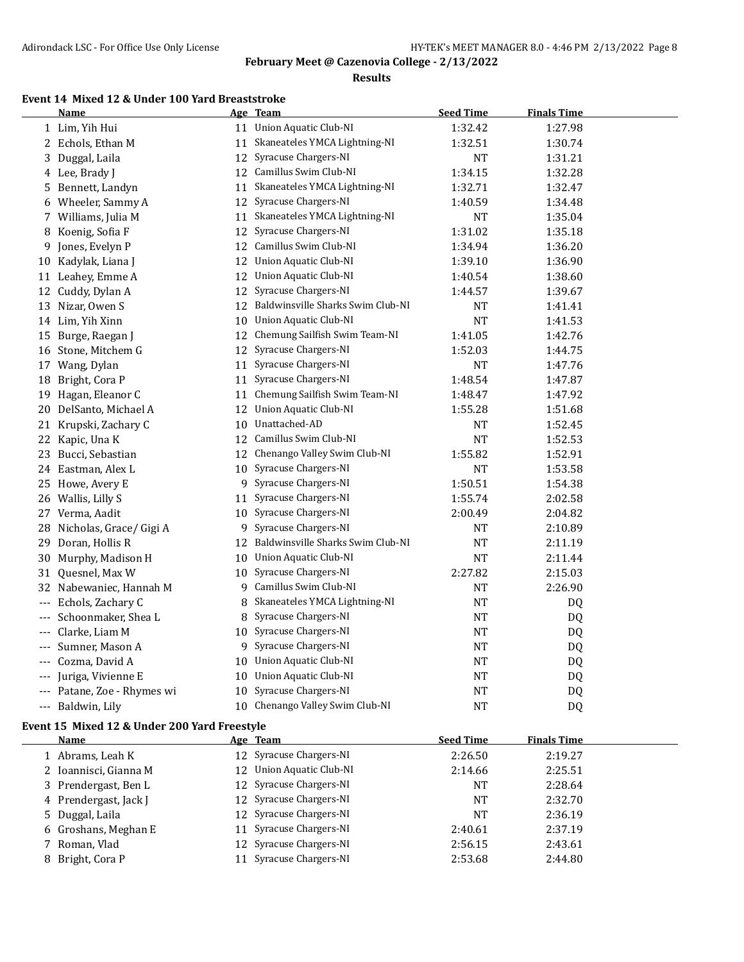#### **Results**

# **Event 14 Mixed 12 & Under 100 Yard Breaststroke**

|                   | <b>Name</b>                                  |    | Age Team                          | <b>Seed Time</b> | <b>Finals Time</b> |  |
|-------------------|----------------------------------------------|----|-----------------------------------|------------------|--------------------|--|
|                   | 1 Lim, Yih Hui                               |    | 11 Union Aquatic Club-NI          | 1:32.42          | 1:27.98            |  |
| 2                 | Echols, Ethan M                              | 11 | Skaneateles YMCA Lightning-NI     | 1:32.51          | 1:30.74            |  |
| 3                 | Duggal, Laila                                | 12 | Syracuse Chargers-NI              | <b>NT</b>        | 1:31.21            |  |
| 4                 | Lee, Brady J                                 | 12 | Camillus Swim Club-NI             | 1:34.15          | 1:32.28            |  |
| 5                 | Bennett, Landyn                              | 11 | Skaneateles YMCA Lightning-NI     | 1:32.71          | 1:32.47            |  |
| 6                 | Wheeler, Sammy A                             | 12 | Syracuse Chargers-NI              | 1:40.59          | 1:34.48            |  |
| 7                 | Williams, Julia M                            | 11 | Skaneateles YMCA Lightning-NI     | <b>NT</b>        | 1:35.04            |  |
| 8                 | Koenig, Sofia F                              | 12 | Syracuse Chargers-NI              | 1:31.02          | 1:35.18            |  |
| 9                 | Jones, Evelyn P                              | 12 | Camillus Swim Club-NI             | 1:34.94          | 1:36.20            |  |
| 10                | Kadylak, Liana J                             | 12 | <b>Union Aquatic Club-NI</b>      | 1:39.10          | 1:36.90            |  |
| 11                | Leahey, Emme A                               | 12 | <b>Union Aquatic Club-NI</b>      | 1:40.54          | 1:38.60            |  |
| 12                | Cuddy, Dylan A                               | 12 | Syracuse Chargers-NI              | 1:44.57          | 1:39.67            |  |
| 13                | Nizar, Owen S                                | 12 | Baldwinsville Sharks Swim Club-NI | <b>NT</b>        | 1:41.41            |  |
| 14                | Lim, Yih Xinn                                | 10 | <b>Union Aquatic Club-NI</b>      | <b>NT</b>        | 1:41.53            |  |
| 15                | Burge, Raegan J                              | 12 | Chemung Sailfish Swim Team-NI     | 1:41.05          | 1:42.76            |  |
| 16                | Stone, Mitchem G                             | 12 | Syracuse Chargers-NI              | 1:52.03          | 1:44.75            |  |
| 17                | Wang, Dylan                                  | 11 | Syracuse Chargers-NI              | <b>NT</b>        | 1:47.76            |  |
| 18                | Bright, Cora P                               | 11 | Syracuse Chargers-NI              | 1:48.54          | 1:47.87            |  |
| 19                | Hagan, Eleanor C                             | 11 | Chemung Sailfish Swim Team-NI     | 1:48.47          | 1:47.92            |  |
| 20                | DelSanto, Michael A                          | 12 | Union Aquatic Club-NI             | 1:55.28          | 1:51.68            |  |
| 21                | Krupski, Zachary C                           | 10 | Unattached-AD                     | NT               | 1:52.45            |  |
| 22                | Kapic, Una K                                 | 12 | Camillus Swim Club-NI             | <b>NT</b>        | 1:52.53            |  |
| 23                | Bucci, Sebastian                             | 12 | Chenango Valley Swim Club-NI      | 1:55.82          | 1:52.91            |  |
| 24                | Eastman, Alex L                              | 10 | Syracuse Chargers-NI              | NT               | 1:53.58            |  |
| 25                | Howe, Avery E                                | 9  | Syracuse Chargers-NI              | 1:50.51          | 1:54.38            |  |
| 26                | Wallis, Lilly S                              | 11 | Syracuse Chargers-NI              | 1:55.74          | 2:02.58            |  |
| 27                | Verma, Aadit                                 | 10 | Syracuse Chargers-NI              | 2:00.49          | 2:04.82            |  |
| 28                | Nicholas, Grace/ Gigi A                      | 9  | Syracuse Chargers-NI              | <b>NT</b>        | 2:10.89            |  |
| 29                | Doran, Hollis R                              | 12 | Baldwinsville Sharks Swim Club-NI | <b>NT</b>        | 2:11.19            |  |
| 30                | Murphy, Madison H                            | 10 | Union Aquatic Club-NI             | <b>NT</b>        | 2:11.44            |  |
|                   | 31 Quesnel, Max W                            | 10 | Syracuse Chargers-NI              | 2:27.82          | 2:15.03            |  |
|                   | 32 Nabewaniec, Hannah M                      | 9  | Camillus Swim Club-NI             | <b>NT</b>        | 2:26.90            |  |
| $\qquad \qquad -$ | Echols, Zachary C                            | 8  | Skaneateles YMCA Lightning-NI     | <b>NT</b>        | DQ                 |  |
|                   | Schoonmaker, Shea L                          | 8  | Syracuse Chargers-NI              | <b>NT</b>        | DQ                 |  |
|                   | Clarke, Liam M                               | 10 | Syracuse Chargers-NI              | <b>NT</b>        | DQ                 |  |
|                   | Sumner, Mason A                              | 9  | Syracuse Chargers-NI              | <b>NT</b>        | DQ                 |  |
|                   | --- Cozma, David A                           |    | 10 Union Aquatic Club-NI          | NT               | DQ                 |  |
|                   | Juriga, Vivienne E                           | 10 | <b>Union Aquatic Club-NI</b>      | <b>NT</b>        | DQ                 |  |
|                   | --- Patane, Zoe - Rhymes wi                  |    | 10 Syracuse Chargers-NI           | NT               | DQ                 |  |
|                   | --- Baldwin, Lily                            |    | 10 Chenango Valley Swim Club-NI   | <b>NT</b>        | DQ                 |  |
|                   | Event 15 Mixed 12 & Under 200 Yard Freestyle |    |                                   |                  |                    |  |
|                   | Name                                         |    | Age Team                          | <b>Seed Time</b> | <b>Finals Time</b> |  |
|                   |                                              |    |                                   |                  |                    |  |

| name                  | <u>ike itam</u>          | <u>Jecu Thine</u> | .       |  |
|-----------------------|--------------------------|-------------------|---------|--|
| 1 Abrams, Leah K      | 12 Syracuse Chargers-NI  | 2:26.50           | 2:19.27 |  |
| 2 Ioannisci, Gianna M | 12 Union Aquatic Club-NI | 2:14.66           | 2:25.51 |  |
| 3 Prendergast, Ben L  | 12 Syracuse Chargers-NI  | NT                | 2:28.64 |  |
| 4 Prendergast, Jack J | 12 Syracuse Chargers-NI  | NT                | 2:32.70 |  |
| 5 Duggal, Laila       | 12 Syracuse Chargers-NI  | NT                | 2:36.19 |  |
| 6 Groshans, Meghan E  | 11 Syracuse Chargers-NI  | 2:40.61           | 2:37.19 |  |
| 7 Roman, Vlad         | 12 Syracuse Chargers-NI  | 2:56.15           | 2:43.61 |  |
| 8 Bright, Cora P      | 11 Syracuse Chargers-NI  | 2:53.68           | 2:44.80 |  |
|                       |                          |                   |         |  |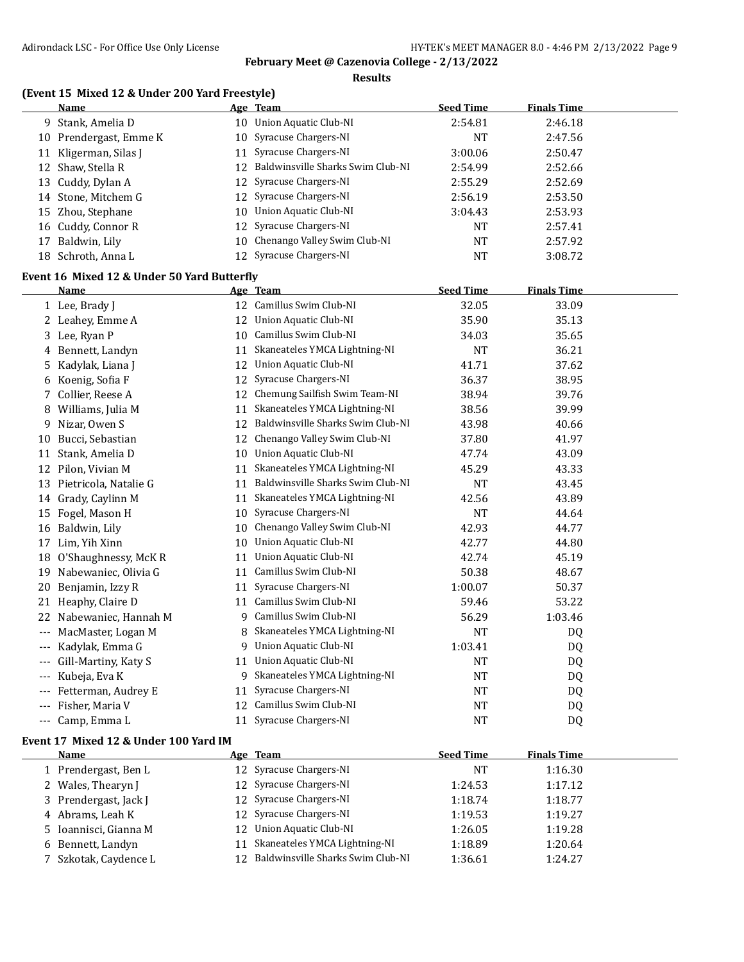**Results**

## **(Event 15 Mixed 12 & Under 200 Yard Freestyle)**

|       | <b>Name</b>                                                |    | Age Team                                             | <b>Seed Time</b> | <b>Finals Time</b> |  |
|-------|------------------------------------------------------------|----|------------------------------------------------------|------------------|--------------------|--|
|       | 9 Stank, Amelia D                                          |    | 10 Union Aquatic Club-NI                             | 2:54.81          | 2:46.18            |  |
|       | 10 Prendergast, Emme K                                     | 10 | Syracuse Chargers-NI                                 | <b>NT</b>        | 2:47.56            |  |
|       | 11 Kligerman, Silas J                                      | 11 | Syracuse Chargers-NI                                 | 3:00.06          | 2:50.47            |  |
|       | 12 Shaw, Stella R                                          | 12 | Baldwinsville Sharks Swim Club-NI                    | 2:54.99          | 2:52.66            |  |
|       | 13 Cuddy, Dylan A                                          | 12 | Syracuse Chargers-NI                                 | 2:55.29          | 2:52.69            |  |
|       | 14 Stone, Mitchem G                                        | 12 | Syracuse Chargers-NI                                 | 2:56.19          | 2:53.50            |  |
| 15    | Zhou, Stephane                                             | 10 | <b>Union Aquatic Club-NI</b>                         | 3:04.43          | 2:53.93            |  |
|       | 16 Cuddy, Connor R                                         | 12 | Syracuse Chargers-NI                                 | <b>NT</b>        | 2:57.41            |  |
| 17    | Baldwin, Lily                                              | 10 | Chenango Valley Swim Club-NI                         | <b>NT</b>        | 2:57.92            |  |
|       | 18 Schroth, Anna L                                         |    | 12 Syracuse Chargers-NI                              | <b>NT</b>        | 3:08.72            |  |
|       |                                                            |    |                                                      |                  |                    |  |
|       | Event 16 Mixed 12 & Under 50 Yard Butterfly<br><u>Name</u> |    | Age Team                                             | <b>Seed Time</b> | <b>Finals Time</b> |  |
|       |                                                            |    | 12 Camillus Swim Club-NI                             |                  |                    |  |
|       | 1 Lee, Brady J                                             |    |                                                      | 32.05            | 33.09              |  |
|       | 2 Leahey, Emme A                                           |    | 12 Union Aquatic Club-NI<br>10 Camillus Swim Club-NI | 35.90            | 35.13              |  |
|       | 3 Lee, Ryan P                                              |    |                                                      | 34.03            | 35.65              |  |
|       | 4 Bennett, Landyn                                          |    | 11 Skaneateles YMCA Lightning-NI                     | <b>NT</b>        | 36.21              |  |
|       | 5 Kadylak, Liana J                                         | 12 | Union Aquatic Club-NI                                | 41.71            | 37.62              |  |
|       | 6 Koenig, Sofia F                                          | 12 | Syracuse Chargers-NI                                 | 36.37            | 38.95              |  |
|       | 7 Collier, Reese A                                         |    | 12 Chemung Sailfish Swim Team-NI                     | 38.94            | 39.76              |  |
| 8     | Williams, Julia M                                          | 11 | Skaneateles YMCA Lightning-NI                        | 38.56            | 39.99              |  |
| 9     | Nizar, Owen S                                              | 12 | Baldwinsville Sharks Swim Club-NI                    | 43.98            | 40.66              |  |
| 10    | Bucci, Sebastian                                           | 12 | Chenango Valley Swim Club-NI                         | 37.80            | 41.97              |  |
| 11    | Stank, Amelia D                                            | 10 | Union Aquatic Club-NI                                | 47.74            | 43.09              |  |
| 12    | Pilon, Vivian M                                            | 11 | Skaneateles YMCA Lightning-NI                        | 45.29            | 43.33              |  |
| 13    | Pietricola, Natalie G                                      | 11 | Baldwinsville Sharks Swim Club-NI                    | <b>NT</b>        | 43.45              |  |
|       | 14 Grady, Caylinn M                                        | 11 | Skaneateles YMCA Lightning-NI                        | 42.56            | 43.89              |  |
| 15    | Fogel, Mason H                                             | 10 | Syracuse Chargers-NI                                 | <b>NT</b>        | 44.64              |  |
|       | 16 Baldwin, Lily                                           | 10 | Chenango Valley Swim Club-NI                         | 42.93            | 44.77              |  |
|       | 17 Lim, Yih Xinn                                           | 10 | Union Aquatic Club-NI                                | 42.77            | 44.80              |  |
|       | 18 O'Shaughnessy, McKR                                     | 11 | Union Aquatic Club-NI                                | 42.74            | 45.19              |  |
|       | 19 Nabewaniec, Olivia G                                    | 11 | Camillus Swim Club-NI                                | 50.38            | 48.67              |  |
| 20    | Benjamin, Izzy R                                           | 11 | Syracuse Chargers-NI                                 | 1:00.07          | 50.37              |  |
|       | 21 Heaphy, Claire D                                        | 11 | Camillus Swim Club-NI                                | 59.46            | 53.22              |  |
|       | 22 Nabewaniec, Hannah M                                    |    | 9 Camillus Swim Club-NI                              | 56.29            | 1:03.46            |  |
|       | --- MacMaster, Logan M                                     | 8  | Skaneateles YMCA Lightning-NI                        | <b>NT</b>        | DQ                 |  |
|       | Kadylak, Emma G                                            |    | 9 Union Aquatic Club-NI                              | 1:03.41          | DQ                 |  |
|       | Gill-Martiny, Katy S                                       |    | 11 Union Aquatic Club-NI                             | <b>NT</b>        | DQ                 |  |
|       | Kubeja, Eva K                                              | 9. | Skaneateles YMCA Lightning-NI                        | NT               | DQ                 |  |
|       | Fetterman, Audrey E                                        | 11 | Syracuse Chargers-NI                                 | NT               | DQ                 |  |
|       | Fisher, Maria V                                            |    | 12 Camillus Swim Club-NI                             | <b>NT</b>        | DQ                 |  |
| $---$ | Camp, Emma L                                               |    | 11 Syracuse Chargers-NI                              | NT               | DQ                 |  |
|       | Event 17 Mixed 12 & Under 100 Yard IM                      |    |                                                      |                  |                    |  |
|       | Name                                                       |    | Age Team                                             | <b>Seed Time</b> | <b>Finals Time</b> |  |
|       | 1 Prendergast, Ben L                                       |    | 12 Syracuse Chargers-NI                              | NT               | 1:16.30            |  |
|       | 2 Wales, Thearyn J                                         | 12 | Syracuse Chargers-NI                                 | 1:24.53          | 1:17.12            |  |
|       | 3 Prendergast, Jack J                                      | 12 | Syracuse Chargers-NI                                 | 1:18.74          | 1:18.77            |  |
|       | 4 Abrams, Leah K                                           | 12 | Syracuse Chargers-NI                                 | 1:19.53          | 1:19.27            |  |
| 5     | Ioannisci, Gianna M                                        | 12 | <b>Union Aquatic Club-NI</b>                         | 1:26.05          | 1:19.28            |  |
| 6     | Bennett, Landyn                                            | 11 | Skaneateles YMCA Lightning-NI                        | 1:18.89          | 1:20.64            |  |
|       | 7 Szkotak, Caydence L                                      |    | 12 Baldwinsville Sharks Swim Club-NI                 | 1:36.61          | 1:24.27            |  |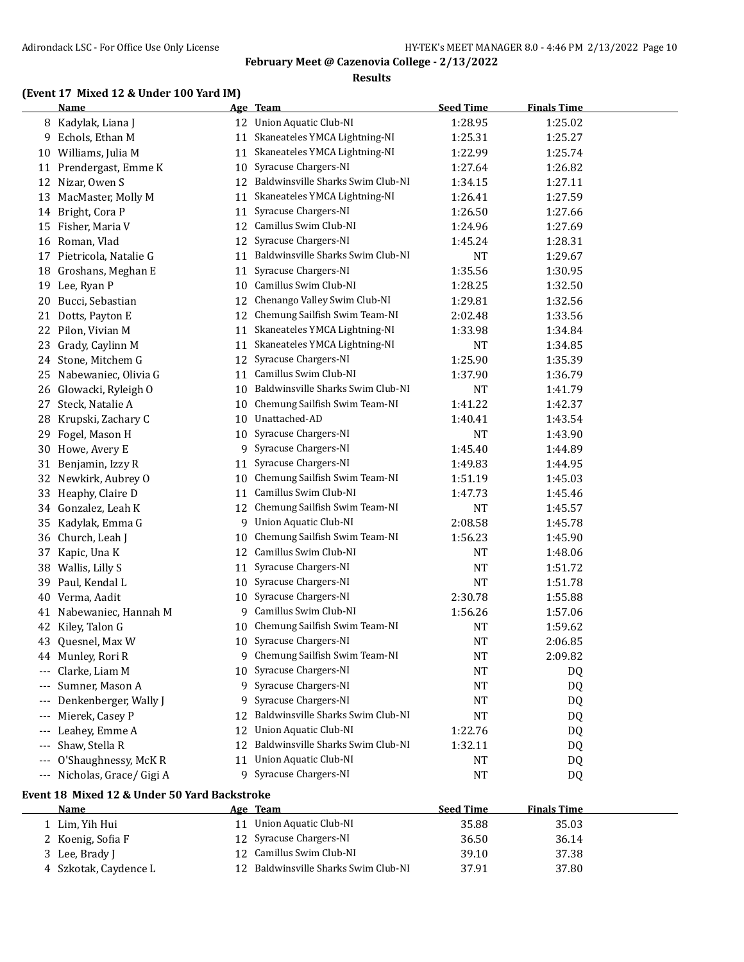#### **Results**

### **(Event 17 Mixed 12 & Under 100 Yard IM)**

|       | <b>Name</b>                                  |         | Age Team                             | <b>Seed Time</b> | <b>Finals Time</b> |  |
|-------|----------------------------------------------|---------|--------------------------------------|------------------|--------------------|--|
|       | 8 Kadylak, Liana J                           | 12      | Union Aquatic Club-NI                | 1:28.95          | 1:25.02            |  |
| 9.    | Echols, Ethan M                              | 11      | Skaneateles YMCA Lightning-NI        | 1:25.31          | 1:25.27            |  |
|       | 10 Williams, Julia M                         | 11      | Skaneateles YMCA Lightning-NI        | 1:22.99          | 1:25.74            |  |
|       | 11 Prendergast, Emme K                       | 10      | Syracuse Chargers-NI                 | 1:27.64          | 1:26.82            |  |
| 12    | Nizar, Owen S                                | 12      | Baldwinsville Sharks Swim Club-NI    | 1:34.15          | 1:27.11            |  |
| 13    | MacMaster, Molly M                           | 11      | Skaneateles YMCA Lightning-NI        | 1:26.41          | 1:27.59            |  |
| 14    | Bright, Cora P                               | 11      | Syracuse Chargers-NI                 | 1:26.50          | 1:27.66            |  |
| 15    | Fisher, Maria V                              | 12      | Camillus Swim Club-NI                | 1:24.96          | 1:27.69            |  |
| 16    | Roman, Vlad                                  | 12      | Syracuse Chargers-NI                 | 1:45.24          | 1:28.31            |  |
| 17    | Pietricola, Natalie G                        | 11      | Baldwinsville Sharks Swim Club-NI    | <b>NT</b>        | 1:29.67            |  |
| 18    | Groshans, Meghan E                           | 11      | Syracuse Chargers-NI                 | 1:35.56          | 1:30.95            |  |
| 19    | Lee, Ryan P                                  | 10      | Camillus Swim Club-NI                | 1:28.25          | 1:32.50            |  |
| 20    | Bucci, Sebastian                             | 12      | Chenango Valley Swim Club-NI         | 1:29.81          | 1:32.56            |  |
| 21    | Dotts, Payton E                              | 12      | Chemung Sailfish Swim Team-NI        | 2:02.48          | 1:33.56            |  |
| 22    | Pilon, Vivian M                              | 11      | Skaneateles YMCA Lightning-NI        | 1:33.98          | 1:34.84            |  |
| 23    | Grady, Caylinn M                             | 11      | Skaneateles YMCA Lightning-NI        | <b>NT</b>        | 1:34.85            |  |
| 24    | Stone, Mitchem G                             | 12      | Syracuse Chargers-NI                 | 1:25.90          | 1:35.39            |  |
| 25    | Nabewaniec, Olivia G                         | 11      | Camillus Swim Club-NI                | 1:37.90          | 1:36.79            |  |
| 26    | Glowacki, Ryleigh O                          | 10      | Baldwinsville Sharks Swim Club-NI    | <b>NT</b>        | 1:41.79            |  |
| 27    | Steck, Natalie A                             | 10      | Chemung Sailfish Swim Team-NI        | 1:41.22          | 1:42.37            |  |
| 28    | Krupski, Zachary C                           | 10      | Unattached-AD                        | 1:40.41          | 1:43.54            |  |
| 29    | Fogel, Mason H                               | 10      | Syracuse Chargers-NI                 | NT               | 1:43.90            |  |
| 30    | Howe, Avery E                                | 9       | Syracuse Chargers-NI                 | 1:45.40          | 1:44.89            |  |
| 31    | Benjamin, Izzy R                             | 11      | Syracuse Chargers-NI                 | 1:49.83          | 1:44.95            |  |
| 32    | Newkirk, Aubrey O                            | 10      | Chemung Sailfish Swim Team-NI        | 1:51.19          | 1:45.03            |  |
| 33    | Heaphy, Claire D                             | 11      | Camillus Swim Club-NI                | 1:47.73          | 1:45.46            |  |
| 34    | Gonzalez, Leah K                             | 12      | Chemung Sailfish Swim Team-NI        | <b>NT</b>        | 1:45.57            |  |
| 35    | Kadylak, Emma G                              | 9       | Union Aquatic Club-NI                | 2:08.58          | 1:45.78            |  |
| 36    | Church, Leah J                               | 10      | Chemung Sailfish Swim Team-NI        | 1:56.23          | 1:45.90            |  |
| 37    | Kapic, Una K                                 | 12      | Camillus Swim Club-NI                | <b>NT</b>        | 1:48.06            |  |
| 38    | Wallis, Lilly S                              | 11      | Syracuse Chargers-NI                 | <b>NT</b>        | 1:51.72            |  |
| 39    | Paul, Kendal L                               | 10      | Syracuse Chargers-NI                 | <b>NT</b>        | 1:51.78            |  |
| 40    | Verma, Aadit                                 | 10      | Syracuse Chargers-NI                 | 2:30.78          | 1:55.88            |  |
|       | 41 Nabewaniec, Hannah M                      | 9.      | Camillus Swim Club-NI                | 1:56.26          | 1:57.06            |  |
| 42    | Kiley, Talon G                               | 10      | Chemung Sailfish Swim Team-NI        | <b>NT</b>        | 1:59.62            |  |
| 43    | Quesnel, Max W                               | 10      | Syracuse Chargers-NI                 | <b>NT</b>        | 2:06.85            |  |
|       | 44 Munley, Rori R                            |         | 9 Chemung Sailfish Swim Team-NI      | NT               | 2:09.82            |  |
|       | Clarke, Liam M                               |         | 10 Syracuse Chargers-NI              | <b>NT</b>        | DQ                 |  |
|       | Sumner, Mason A                              | 9       | Syracuse Chargers-NI                 | <b>NT</b>        | DQ                 |  |
|       | Denkenberger, Wally J                        | 9       | Syracuse Chargers-NI                 | <b>NT</b>        | DQ                 |  |
|       | Mierek, Casey P                              | 12      | Baldwinsville Sharks Swim Club-NI    | <b>NT</b>        | DQ                 |  |
|       | Leahey, Emme A                               | 12      | <b>Union Aquatic Club-NI</b>         | 1:22.76          |                    |  |
|       | Shaw, Stella R                               | 12      | Baldwinsville Sharks Swim Club-NI    | 1:32.11          | DQ                 |  |
| ---   | O'Shaughnessy, McKR                          |         | <b>Union Aquatic Club-NI</b>         |                  | DQ                 |  |
| $---$ | --- Nicholas, Grace/ Gigi A                  | 11<br>9 | Syracuse Chargers-NI                 | NT               | DQ                 |  |
|       |                                              |         |                                      | NT               | DQ                 |  |
|       | Event 18 Mixed 12 & Under 50 Yard Backstroke |         |                                      |                  |                    |  |
|       | <b>Name</b>                                  |         | Age Team                             | <b>Seed Time</b> | <b>Finals Time</b> |  |
|       | 1 Lim, Yih Hui                               |         | 11 Union Aquatic Club-NI             | 35.88            | 35.03              |  |
|       | 2 Koenig, Sofia F                            |         | 12 Syracuse Chargers-NI              | 36.50            | 36.14              |  |
|       | 3 Lee, Brady J                               |         | 12 Camillus Swim Club-NI             | 39.10            | 37.38              |  |
|       | 4 Szkotak, Caydence L                        |         | 12 Baldwinsville Sharks Swim Club-NI | 37.91            | 37.80              |  |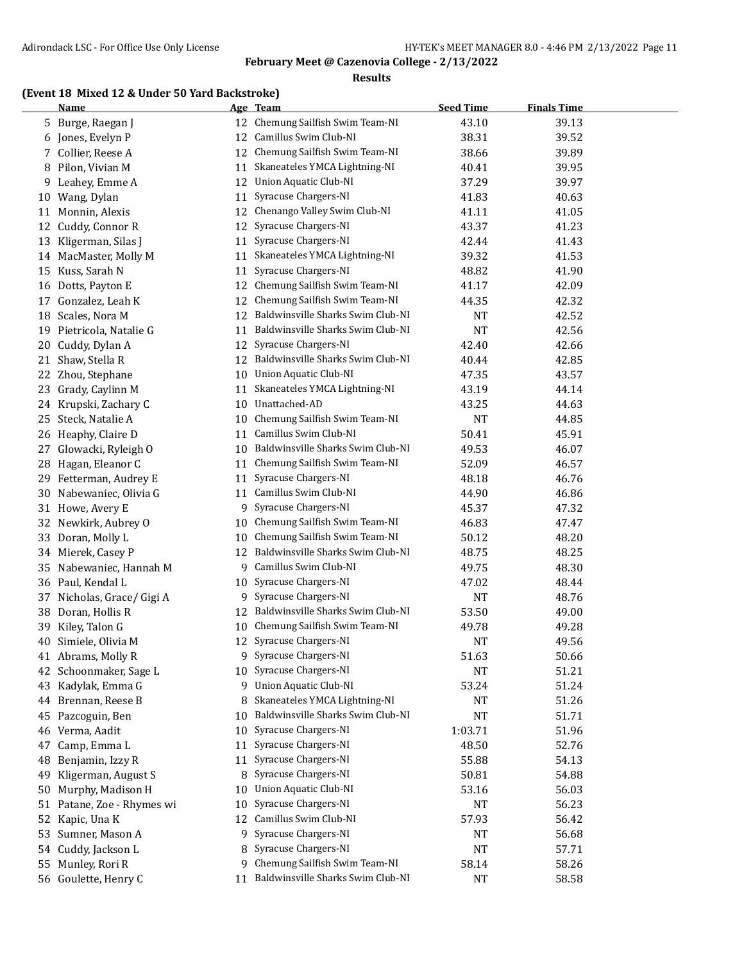#### **Results**

### **(Event 18 Mixed 12 & Under 50 Yard Backstroke)**

|    | <b>Name</b>                |          | Age Team                             | <b>Seed Time</b> | <b>Finals Time</b> |  |
|----|----------------------------|----------|--------------------------------------|------------------|--------------------|--|
| 5. | Burge, Raegan J            |          | 12 Chemung Sailfish Swim Team-NI     | 43.10            | 39.13              |  |
| 6  | Jones, Evelyn P            | 12       | Camillus Swim Club-NI                | 38.31            | 39.52              |  |
| 7  | Collier, Reese A           | 12       | Chemung Sailfish Swim Team-NI        | 38.66            | 39.89              |  |
| 8  | Pilon, Vivian M            | 11       | Skaneateles YMCA Lightning-NI        | 40.41            | 39.95              |  |
| 9  | Leahey, Emme A             | 12       | <b>Union Aquatic Club-NI</b>         | 37.29            | 39.97              |  |
| 10 | Wang, Dylan                | 11       | Syracuse Chargers-NI                 | 41.83            | 40.63              |  |
| 11 | Monnin, Alexis             | 12       | Chenango Valley Swim Club-NI         | 41.11            | 41.05              |  |
| 12 | Cuddy, Connor R            | 12       | Syracuse Chargers-NI                 | 43.37            | 41.23              |  |
| 13 | Kligerman, Silas J         | 11       | Syracuse Chargers-NI                 | 42.44            | 41.43              |  |
| 14 | MacMaster, Molly M         | 11       | Skaneateles YMCA Lightning-NI        | 39.32            | 41.53              |  |
| 15 | Kuss, Sarah N              | 11       | Syracuse Chargers-NI                 | 48.82            | 41.90              |  |
| 16 | Dotts, Payton E            | 12       | Chemung Sailfish Swim Team-NI        | 41.17            | 42.09              |  |
| 17 | Gonzalez, Leah K           | 12       | Chemung Sailfish Swim Team-NI        | 44.35            | 42.32              |  |
| 18 | Scales, Nora M             | 12       | Baldwinsville Sharks Swim Club-NI    | NT               | 42.52              |  |
| 19 | Pietricola, Natalie G      | 11       | Baldwinsville Sharks Swim Club-NI    | <b>NT</b>        | 42.56              |  |
| 20 | Cuddy, Dylan A             | 12       | Syracuse Chargers-NI                 | 42.40            | 42.66              |  |
| 21 | Shaw, Stella R             |          | 12 Baldwinsville Sharks Swim Club-NI | 40.44            | 42.85              |  |
|    | 22 Zhou, Stephane          |          | 10 Union Aquatic Club-NI             | 47.35            | 43.57              |  |
| 23 | Grady, Caylinn M           | 11       | Skaneateles YMCA Lightning-NI        | 43.19            | 44.14              |  |
| 24 | Krupski, Zachary C         | 10       | Unattached-AD                        | 43.25            | 44.63              |  |
| 25 | Steck, Natalie A           | 10       | Chemung Sailfish Swim Team-NI        | <b>NT</b>        | 44.85              |  |
| 26 | Heaphy, Claire D           | 11       | Camillus Swim Club-NI                | 50.41            | 45.91              |  |
| 27 | Glowacki, Ryleigh O        | 10       | Baldwinsville Sharks Swim Club-NI    | 49.53            | 46.07              |  |
| 28 | Hagan, Eleanor C           | 11       | Chemung Sailfish Swim Team-NI        | 52.09            | 46.57              |  |
| 29 | Fetterman, Audrey E        | 11       | Syracuse Chargers-NI                 | 48.18            | 46.76              |  |
| 30 | Nabewaniec, Olivia G       | 11       | Camillus Swim Club-NI                | 44.90            | 46.86              |  |
|    | 31 Howe, Avery E           | 9.       | Syracuse Chargers-NI                 | 45.37            | 47.32              |  |
| 32 | Newkirk, Aubrey O          | 10       | Chemung Sailfish Swim Team-NI        | 46.83            | 47.47              |  |
| 33 | Doran, Molly L             |          | Chemung Sailfish Swim Team-NI        | 50.12            | 48.20              |  |
|    |                            | 10<br>12 | Baldwinsville Sharks Swim Club-NI    |                  | 48.25              |  |
|    | 34 Mierek, Casey P         |          | Camillus Swim Club-NI                | 48.75            |                    |  |
| 35 | Nabewaniec, Hannah M       | 9.       |                                      | 49.75            | 48.30              |  |
|    | 36 Paul, Kendal L          | 10       | Syracuse Chargers-NI                 | 47.02            | 48.44              |  |
| 37 | Nicholas, Grace/ Gigi A    | 9.       | Syracuse Chargers-NI                 | <b>NT</b>        | 48.76              |  |
| 38 | Doran, Hollis R            | 12       | Baldwinsville Sharks Swim Club-NI    | 53.50            | 49.00              |  |
| 39 | Kiley, Talon G             | 10       | Chemung Sailfish Swim Team-NI        | 49.78            | 49.28              |  |
| 40 | Simiele, Olivia M          |          | 12 Syracuse Chargers-NI              | <b>NT</b>        | 49.56              |  |
|    | 41 Abrams, Molly R         |          | 9 Syracuse Chargers-NI               | 51.63            | 50.66              |  |
| 42 | Schoonmaker, Sage L        | 10       | Syracuse Chargers-NI                 | <b>NT</b>        | 51.21              |  |
| 43 | Kadylak, Emma G            | 9        | <b>Union Aquatic Club-NI</b>         | 53.24            | 51.24              |  |
|    | 44 Brennan, Reese B        | 8        | Skaneateles YMCA Lightning-NI        | NT               | 51.26              |  |
| 45 | Pazcoguin, Ben             | 10       | Baldwinsville Sharks Swim Club-NI    | <b>NT</b>        | 51.71              |  |
| 46 | Verma, Aadit               | 10       | Syracuse Chargers-NI                 | 1:03.71          | 51.96              |  |
| 47 | Camp, Emma L               | 11       | Syracuse Chargers-NI                 | 48.50            | 52.76              |  |
| 48 | Benjamin, Izzy R           | 11       | Syracuse Chargers-NI                 | 55.88            | 54.13              |  |
| 49 | Kligerman, August S        | 8        | Syracuse Chargers-NI                 | 50.81            | 54.88              |  |
| 50 | Murphy, Madison H          | 10       | <b>Union Aquatic Club-NI</b>         | 53.16            | 56.03              |  |
|    | 51 Patane, Zoe - Rhymes wi | 10       | Syracuse Chargers-NI                 | NT               | 56.23              |  |
| 52 | Kapic, Una K               | 12       | Camillus Swim Club-NI                | 57.93            | 56.42              |  |
| 53 | Sumner, Mason A            | 9        | Syracuse Chargers-NI                 | NT               | 56.68              |  |
| 54 | Cuddy, Jackson L           | 8        | Syracuse Chargers-NI                 | NT               | 57.71              |  |
|    | 55 Munley, Rori R          | 9.       | Chemung Sailfish Swim Team-NI        | 58.14            | 58.26              |  |
|    | 56 Goulette, Henry C       | 11       | Baldwinsville Sharks Swim Club-NI    | <b>NT</b>        | 58.58              |  |